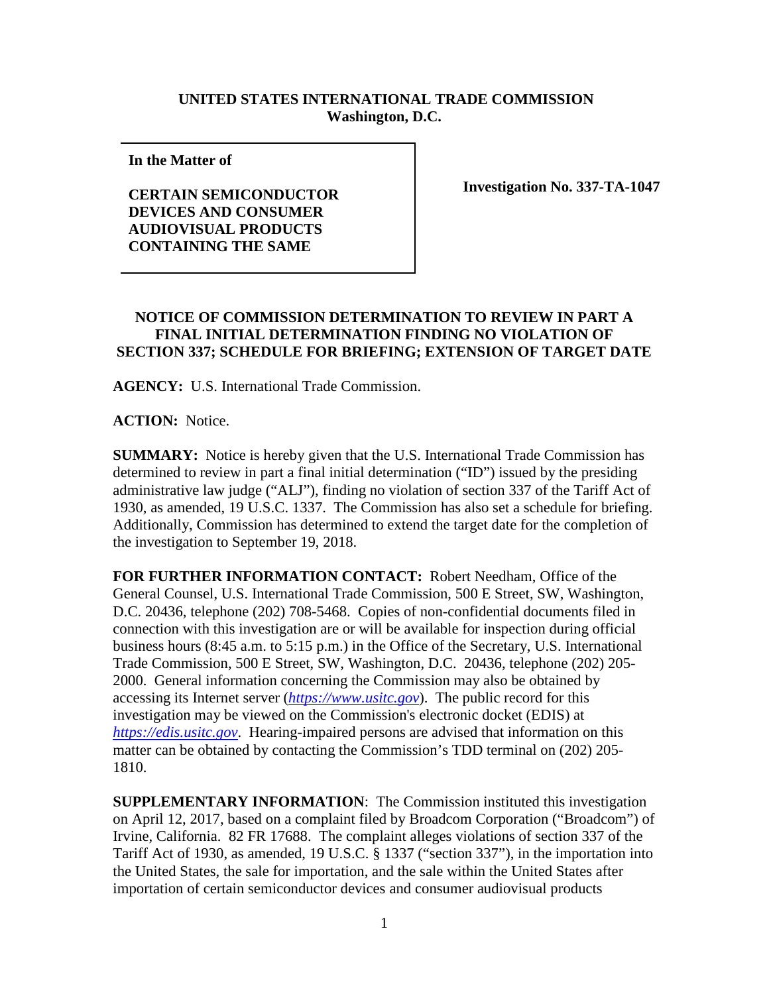## **UNITED STATES INTERNATIONAL TRADE COMMISSION Washington, D.C.**

**In the Matter of** 

**CERTAIN SEMICONDUCTOR DEVICES AND CONSUMER AUDIOVISUAL PRODUCTS CONTAINING THE SAME**

**Investigation No. 337-TA-1047**

## **NOTICE OF COMMISSION DETERMINATION TO REVIEW IN PART A FINAL INITIAL DETERMINATION FINDING NO VIOLATION OF SECTION 337; SCHEDULE FOR BRIEFING; EXTENSION OF TARGET DATE**

**AGENCY:** U.S. International Trade Commission.

**ACTION:** Notice.

**SUMMARY:** Notice is hereby given that the U.S. International Trade Commission has determined to review in part a final initial determination ("ID") issued by the presiding administrative law judge ("ALJ"), finding no violation of section 337 of the Tariff Act of 1930, as amended, 19 U.S.C. 1337. The Commission has also set a schedule for briefing. Additionally, Commission has determined to extend the target date for the completion of the investigation to September 19, 2018.

**FOR FURTHER INFORMATION CONTACT:** Robert Needham, Office of the General Counsel, U.S. International Trade Commission, 500 E Street, SW, Washington, D.C. 20436, telephone (202) 708-5468. Copies of non-confidential documents filed in connection with this investigation are or will be available for inspection during official business hours (8:45 a.m. to 5:15 p.m.) in the Office of the Secretary, U.S. International Trade Commission, 500 E Street, SW, Washington, D.C. 20436, telephone (202) 205- 2000. General information concerning the Commission may also be obtained by accessing its Internet server (*[https://www.usitc.gov](https://www.usitc.gov/)*). The public record for this investigation may be viewed on the Commission's electronic docket (EDIS) at *[https://edis.usitc.gov](https://edis.usitc.gov/)*. Hearing-impaired persons are advised that information on this matter can be obtained by contacting the Commission's TDD terminal on (202) 205- 1810.

**SUPPLEMENTARY INFORMATION**: The Commission instituted this investigation on April 12, 2017, based on a complaint filed by Broadcom Corporation ("Broadcom") of Irvine, California. 82 FR 17688. The complaint alleges violations of section 337 of the Tariff Act of 1930, as amended, 19 U.S.C. § 1337 ("section 337"), in the importation into the United States, the sale for importation, and the sale within the United States after importation of certain semiconductor devices and consumer audiovisual products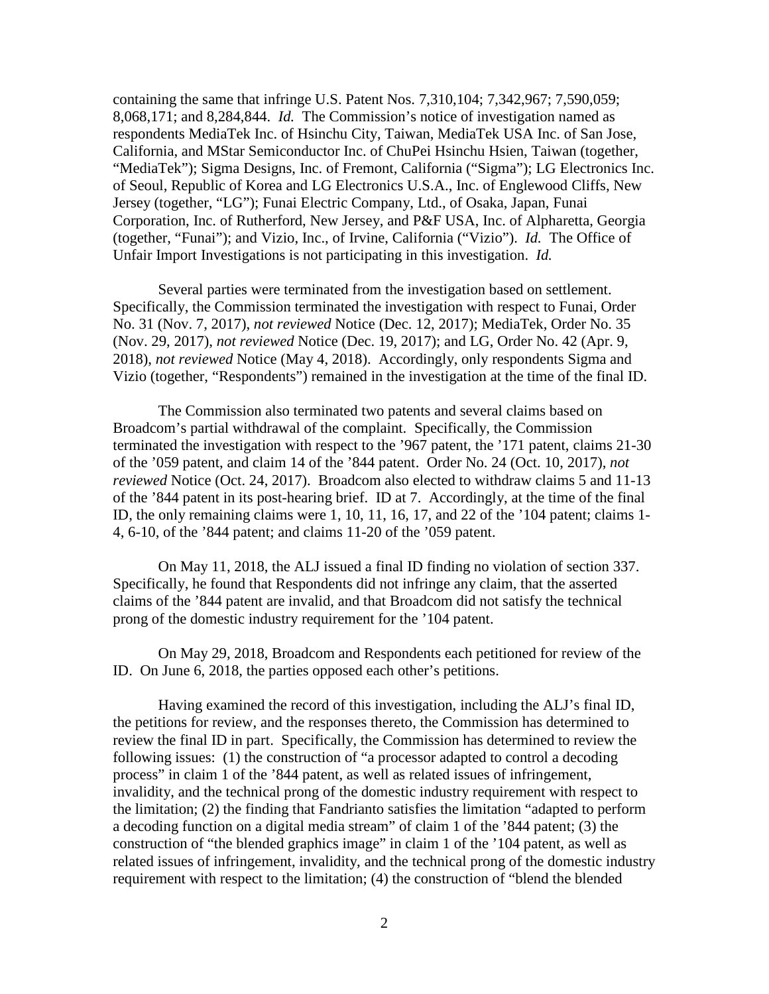containing the same that infringe U.S. Patent Nos. 7,310,104; 7,342,967; 7,590,059; 8,068,171; and 8,284,844. *Id.* The Commission's notice of investigation named as respondents MediaTek Inc. of Hsinchu City, Taiwan, MediaTek USA Inc. of San Jose, California, and MStar Semiconductor Inc. of ChuPei Hsinchu Hsien, Taiwan (together, "MediaTek"); Sigma Designs, Inc. of Fremont, California ("Sigma"); LG Electronics Inc. of Seoul, Republic of Korea and LG Electronics U.S.A., Inc. of Englewood Cliffs, New Jersey (together, "LG"); Funai Electric Company, Ltd., of Osaka, Japan, Funai Corporation, Inc. of Rutherford, New Jersey, and P&F USA, Inc. of Alpharetta, Georgia (together, "Funai"); and Vizio, Inc., of Irvine, California ("Vizio"). *Id.* The Office of Unfair Import Investigations is not participating in this investigation. *Id.*

Several parties were terminated from the investigation based on settlement. Specifically, the Commission terminated the investigation with respect to Funai, Order No. 31 (Nov. 7, 2017), *not reviewed* Notice (Dec. 12, 2017); MediaTek, Order No. 35 (Nov. 29, 2017), *not reviewed* Notice (Dec. 19, 2017); and LG, Order No. 42 (Apr. 9, 2018), *not reviewed* Notice (May 4, 2018). Accordingly, only respondents Sigma and Vizio (together, "Respondents") remained in the investigation at the time of the final ID.

The Commission also terminated two patents and several claims based on Broadcom's partial withdrawal of the complaint. Specifically, the Commission terminated the investigation with respect to the '967 patent, the '171 patent, claims 21-30 of the '059 patent, and claim 14 of the '844 patent. Order No. 24 (Oct. 10, 2017), *not reviewed* Notice (Oct. 24, 2017). Broadcom also elected to withdraw claims 5 and 11-13 of the '844 patent in its post-hearing brief. ID at 7. Accordingly, at the time of the final ID, the only remaining claims were 1, 10, 11, 16, 17, and 22 of the '104 patent; claims 1- 4, 6-10, of the '844 patent; and claims 11-20 of the '059 patent.

On May 11, 2018, the ALJ issued a final ID finding no violation of section 337. Specifically, he found that Respondents did not infringe any claim, that the asserted claims of the '844 patent are invalid, and that Broadcom did not satisfy the technical prong of the domestic industry requirement for the '104 patent.

On May 29, 2018, Broadcom and Respondents each petitioned for review of the ID. On June 6, 2018, the parties opposed each other's petitions.

Having examined the record of this investigation, including the ALJ's final ID, the petitions for review, and the responses thereto, the Commission has determined to review the final ID in part. Specifically, the Commission has determined to review the following issues: (1) the construction of "a processor adapted to control a decoding process" in claim 1 of the '844 patent, as well as related issues of infringement, invalidity, and the technical prong of the domestic industry requirement with respect to the limitation; (2) the finding that Fandrianto satisfies the limitation "adapted to perform a decoding function on a digital media stream" of claim 1 of the '844 patent; (3) the construction of "the blended graphics image" in claim 1 of the '104 patent, as well as related issues of infringement, invalidity, and the technical prong of the domestic industry requirement with respect to the limitation; (4) the construction of "blend the blended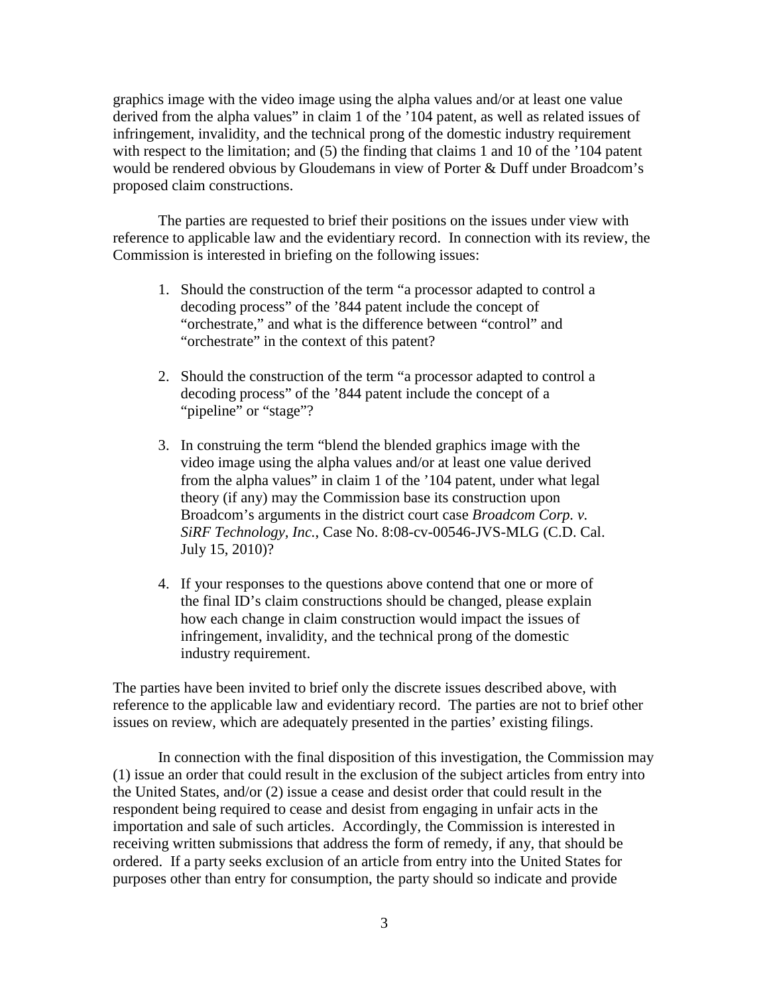graphics image with the video image using the alpha values and/or at least one value derived from the alpha values" in claim 1 of the '104 patent, as well as related issues of infringement, invalidity, and the technical prong of the domestic industry requirement with respect to the limitation; and (5) the finding that claims 1 and 10 of the '104 patent would be rendered obvious by Gloudemans in view of Porter & Duff under Broadcom's proposed claim constructions.

The parties are requested to brief their positions on the issues under view with reference to applicable law and the evidentiary record. In connection with its review, the Commission is interested in briefing on the following issues:

- 1. Should the construction of the term "a processor adapted to control a decoding process" of the '844 patent include the concept of "orchestrate," and what is the difference between "control" and "orchestrate" in the context of this patent?
- 2. Should the construction of the term "a processor adapted to control a decoding process" of the '844 patent include the concept of a ""pipeline" or "stage"?
- 3. In construing the term "blend the blended graphics image with the video image using the alpha values and/or at least one value derived from the alpha values" in claim 1 of the '104 patent, under what legal theory (if any) may the Commission base its construction upon Broadcom's arguments in the district court case *Broadcom Corp. v. SiRF Technology, Inc.*, Case No. 8:08-cv-00546-JVS-MLG (C.D. Cal. July 15, 2010)?
- 4. If your responses to the questions above contend that one or more of the final ID's claim constructions should be changed, please explain how each change in claim construction would impact the issues of infringement, invalidity, and the technical prong of the domestic industry requirement.

The parties have been invited to brief only the discrete issues described above, with reference to the applicable law and evidentiary record. The parties are not to brief other issues on review, which are adequately presented in the parties' existing filings.

In connection with the final disposition of this investigation, the Commission may (1) issue an order that could result in the exclusion of the subject articles from entry into the United States, and/or (2) issue a cease and desist order that could result in the respondent being required to cease and desist from engaging in unfair acts in the importation and sale of such articles. Accordingly, the Commission is interested in receiving written submissions that address the form of remedy, if any, that should be ordered. If a party seeks exclusion of an article from entry into the United States for purposes other than entry for consumption, the party should so indicate and provide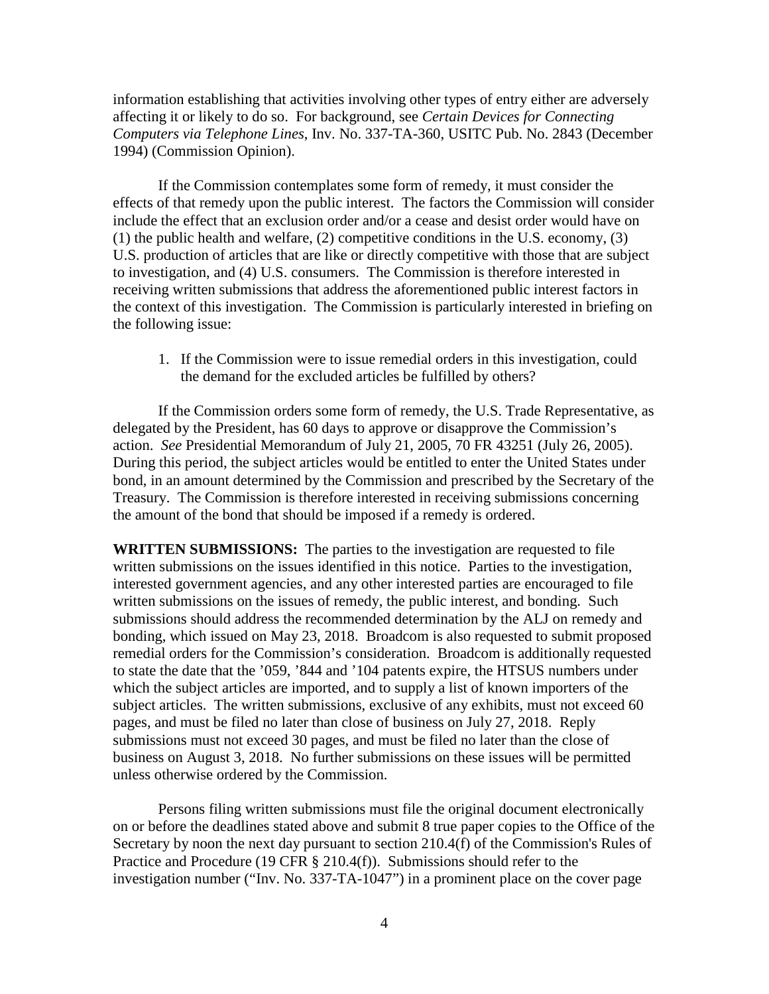information establishing that activities involving other types of entry either are adversely affecting it or likely to do so. For background, see *Certain Devices for Connecting Computers via Telephone Lines*, Inv. No. 337-TA-360, USITC Pub. No. 2843 (December 1994) (Commission Opinion).

If the Commission contemplates some form of remedy, it must consider the effects of that remedy upon the public interest. The factors the Commission will consider include the effect that an exclusion order and/or a cease and desist order would have on (1) the public health and welfare, (2) competitive conditions in the U.S. economy, (3) U.S. production of articles that are like or directly competitive with those that are subject to investigation, and (4) U.S. consumers. The Commission is therefore interested in receiving written submissions that address the aforementioned public interest factors in the context of this investigation. The Commission is particularly interested in briefing on the following issue:

1. If the Commission were to issue remedial orders in this investigation, could the demand for the excluded articles be fulfilled by others?

If the Commission orders some form of remedy, the U.S. Trade Representative, as delegated by the President, has 60 days to approve or disapprove the Commission's action. *See* Presidential Memorandum of July 21, 2005, 70 FR 43251 (July 26, 2005). During this period, the subject articles would be entitled to enter the United States under bond, in an amount determined by the Commission and prescribed by the Secretary of the Treasury. The Commission is therefore interested in receiving submissions concerning the amount of the bond that should be imposed if a remedy is ordered.

**WRITTEN SUBMISSIONS:** The parties to the investigation are requested to file written submissions on the issues identified in this notice. Parties to the investigation, interested government agencies, and any other interested parties are encouraged to file written submissions on the issues of remedy, the public interest, and bonding. Such submissions should address the recommended determination by the ALJ on remedy and bonding, which issued on May 23, 2018. Broadcom is also requested to submit proposed remedial orders for the Commission's consideration. Broadcom is additionally requested to state the date that the '059, '844 and '104 patents expire, the HTSUS numbers under which the subject articles are imported, and to supply a list of known importers of the subject articles. The written submissions, exclusive of any exhibits, must not exceed 60 pages, and must be filed no later than close of business on July 27, 2018. Reply submissions must not exceed 30 pages, and must be filed no later than the close of business on August 3, 2018. No further submissions on these issues will be permitted unless otherwise ordered by the Commission.

Persons filing written submissions must file the original document electronically on or before the deadlines stated above and submit 8 true paper copies to the Office of the Secretary by noon the next day pursuant to section 210.4(f) of the Commission's Rules of Practice and Procedure (19 CFR § 210.4(f)). Submissions should refer to the investigation number ("Inv. No. 337-TA-1047") in a prominent place on the cover page